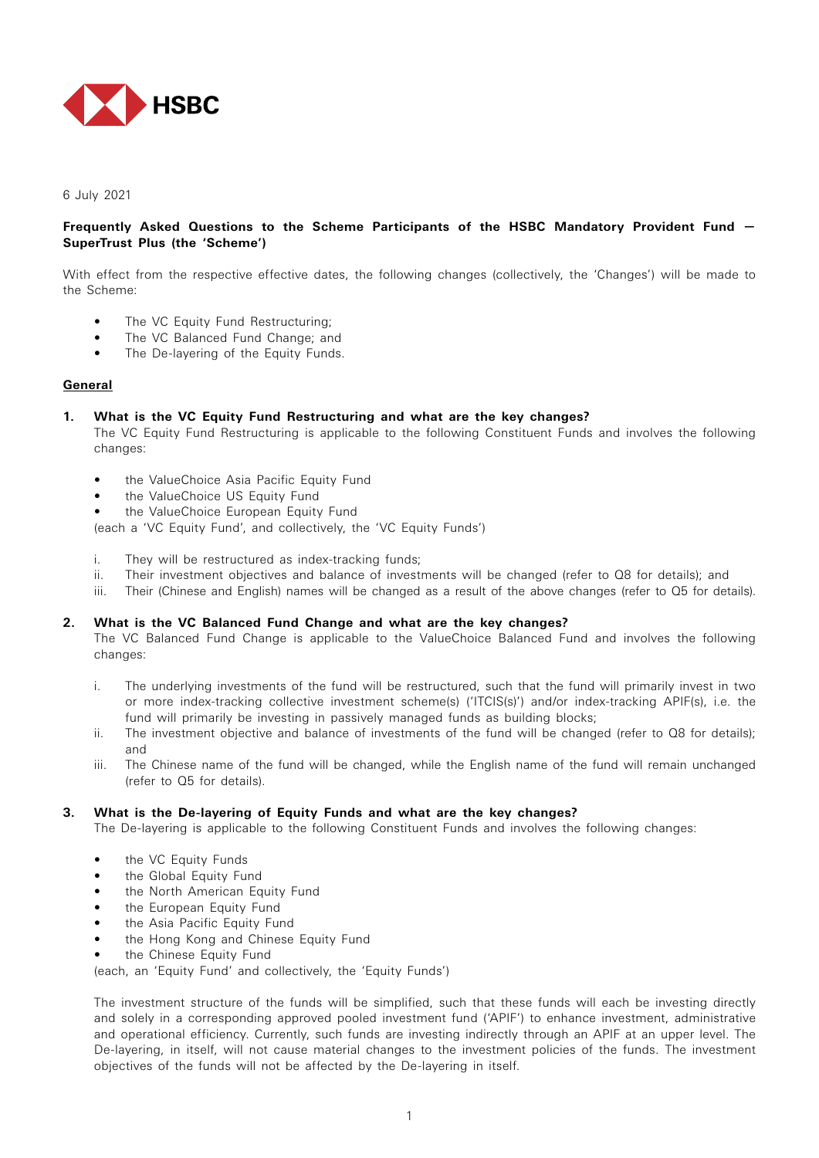

6 July 2021

## **Frequently Asked Questions to the Scheme Participants of the HSBC Mandatory Provident Fund — SuperTrust Plus (the 'Scheme')**

With effect from the respective effective dates, the following changes (collectively, the 'Changes') will be made to the Scheme:

- The VC Equity Fund Restructuring;
- The VC Balanced Fund Change; and
- The De-layering of the Equity Funds.

## **General**

## **1. What is the VC Equity Fund Restructuring and what are the key changes?**

 The VC Equity Fund Restructuring is applicable to the following Constituent Funds and involves the following changes:

- the ValueChoice Asia Pacific Equity Fund
- the ValueChoice US Equity Fund
- the ValueChoice European Equity Fund

(each a 'VC Equity Fund', and collectively, the 'VC Equity Funds')

- i. They will be restructured as index-tracking funds;
- ii. Their investment objectives and balance of investments will be changed (refer to Q8 for details); and
- iii. Their (Chinese and English) names will be changed as a result of the above changes (refer to Q5 for details).

## **2. What is the VC Balanced Fund Change and what are the key changes?**

 The VC Balanced Fund Change is applicable to the ValueChoice Balanced Fund and involves the following changes:

- i. The underlying investments of the fund will be restructured, such that the fund will primarily invest in two or more index-tracking collective investment scheme(s) ('ITCIS(s)') and/or index-tracking APIF(s), i.e. the fund will primarily be investing in passively managed funds as building blocks;
- ii. The investment objective and balance of investments of the fund will be changed (refer to Q8 for details); and
- iii. The Chinese name of the fund will be changed, while the English name of the fund will remain unchanged (refer to Q5 for details).

#### **3. What is the De-layering of Equity Funds and what are the key changes?**

The De-layering is applicable to the following Constituent Funds and involves the following changes:

- the VC Equity Funds
- the Global Equity Fund
- the North American Equity Fund
- the European Equity Fund
- the Asia Pacific Equity Fund
- the Hong Kong and Chinese Equity Fund
- the Chinese Equity Fund

(each, an 'Equity Fund' and collectively, the 'Equity Funds')

 The investment structure of the funds will be simplified, such that these funds will each be investing directly and solely in a corresponding approved pooled investment fund ('APIF') to enhance investment, administrative and operational efficiency. Currently, such funds are investing indirectly through an APIF at an upper level. The De-layering, in itself, will not cause material changes to the investment policies of the funds. The investment objectives of the funds will not be affected by the De-layering in itself.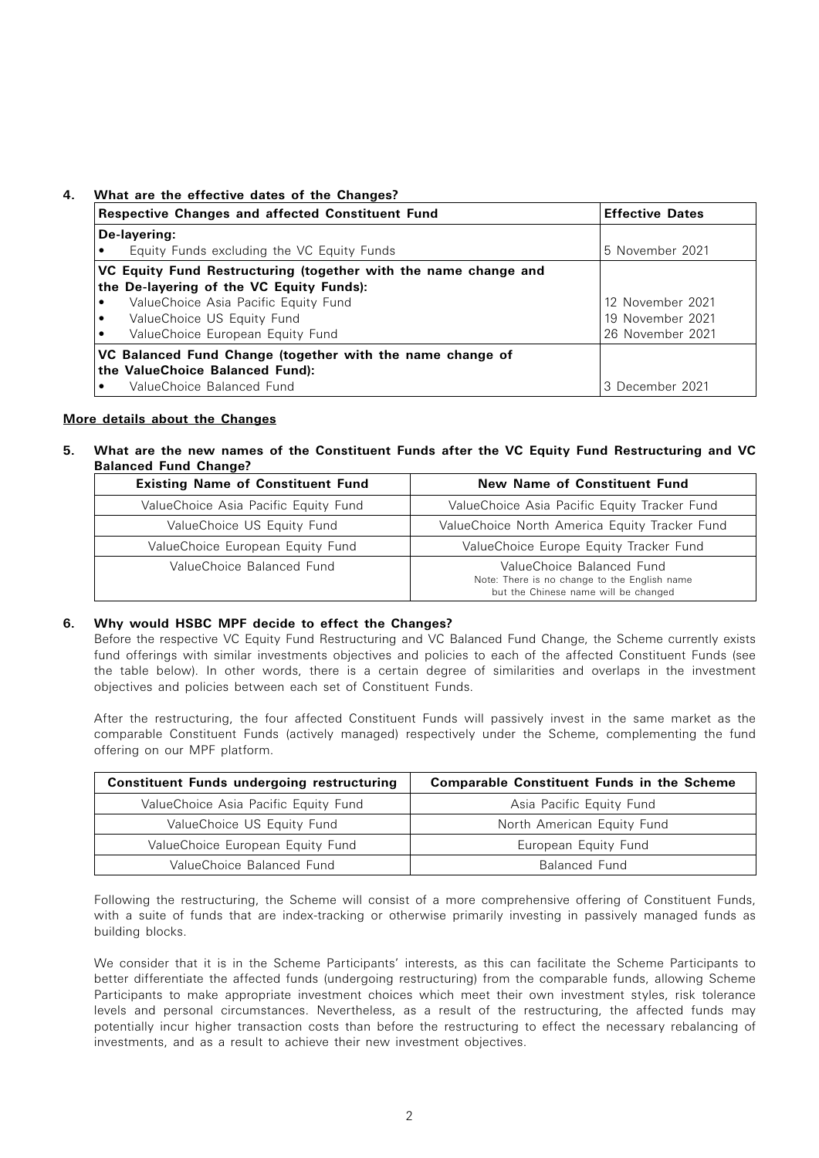# **4. What are the effective dates of the Changes?**

| <b>Respective Changes and affected Constituent Fund</b>         | <b>Effective Dates</b> |  |
|-----------------------------------------------------------------|------------------------|--|
| De-layering:                                                    |                        |  |
| Equity Funds excluding the VC Equity Funds                      | 5 November 2021        |  |
| VC Equity Fund Restructuring (together with the name change and |                        |  |
| the De-layering of the VC Equity Funds):                        |                        |  |
| ValueChoice Asia Pacific Equity Fund                            | 12 November 2021       |  |
| ValueChoice US Equity Fund                                      | 19 November 2021       |  |
| ValueChoice European Equity Fund                                | 26 November 2021       |  |
| VC Balanced Fund Change (together with the name change of       |                        |  |
| the ValueChoice Balanced Fund):                                 |                        |  |
| ValueChoice Balanced Fund                                       | 3 December 2021        |  |

## **More details about the Changes**

**5. What are the new names of the Constituent Funds after the VC Equity Fund Restructuring and VC Balanced Fund Change?**

| <b>Existing Name of Constituent Fund</b> | New Name of Constituent Fund                                                                                      |  |
|------------------------------------------|-------------------------------------------------------------------------------------------------------------------|--|
| ValueChoice Asia Pacific Equity Fund     | ValueChoice Asia Pacific Equity Tracker Fund                                                                      |  |
| ValueChoice US Equity Fund               | ValueChoice North America Equity Tracker Fund                                                                     |  |
| ValueChoice European Equity Fund         | ValueChoice Europe Equity Tracker Fund                                                                            |  |
| ValueChoice Balanced Fund                | ValueChoice Balanced Fund<br>Note: There is no change to the English name<br>but the Chinese name will be changed |  |

## **6. Why would HSBC MPF decide to effect the Changes?**

 Before the respective VC Equity Fund Restructuring and VC Balanced Fund Change, the Scheme currently exists fund offerings with similar investments objectives and policies to each of the affected Constituent Funds (see the table below). In other words, there is a certain degree of similarities and overlaps in the investment objectives and policies between each set of Constituent Funds.

 After the restructuring, the four affected Constituent Funds will passively invest in the same market as the comparable Constituent Funds (actively managed) respectively under the Scheme, complementing the fund offering on our MPF platform.

| <b>Constituent Funds undergoing restructuring</b> | <b>Comparable Constituent Funds in the Scheme</b> |  |
|---------------------------------------------------|---------------------------------------------------|--|
| ValueChoice Asia Pacific Equity Fund              | Asia Pacific Equity Fund                          |  |
| ValueChoice US Equity Fund                        | North American Equity Fund                        |  |
| ValueChoice European Equity Fund                  | European Equity Fund                              |  |
| ValueChoice Balanced Fund                         | Balanced Fund                                     |  |

 Following the restructuring, the Scheme will consist of a more comprehensive offering of Constituent Funds, with a suite of funds that are index-tracking or otherwise primarily investing in passively managed funds as building blocks.

 We consider that it is in the Scheme Participants' interests, as this can facilitate the Scheme Participants to better differentiate the affected funds (undergoing restructuring) from the comparable funds, allowing Scheme Participants to make appropriate investment choices which meet their own investment styles, risk tolerance levels and personal circumstances. Nevertheless, as a result of the restructuring, the affected funds may potentially incur higher transaction costs than before the restructuring to effect the necessary rebalancing of investments, and as a result to achieve their new investment objectives.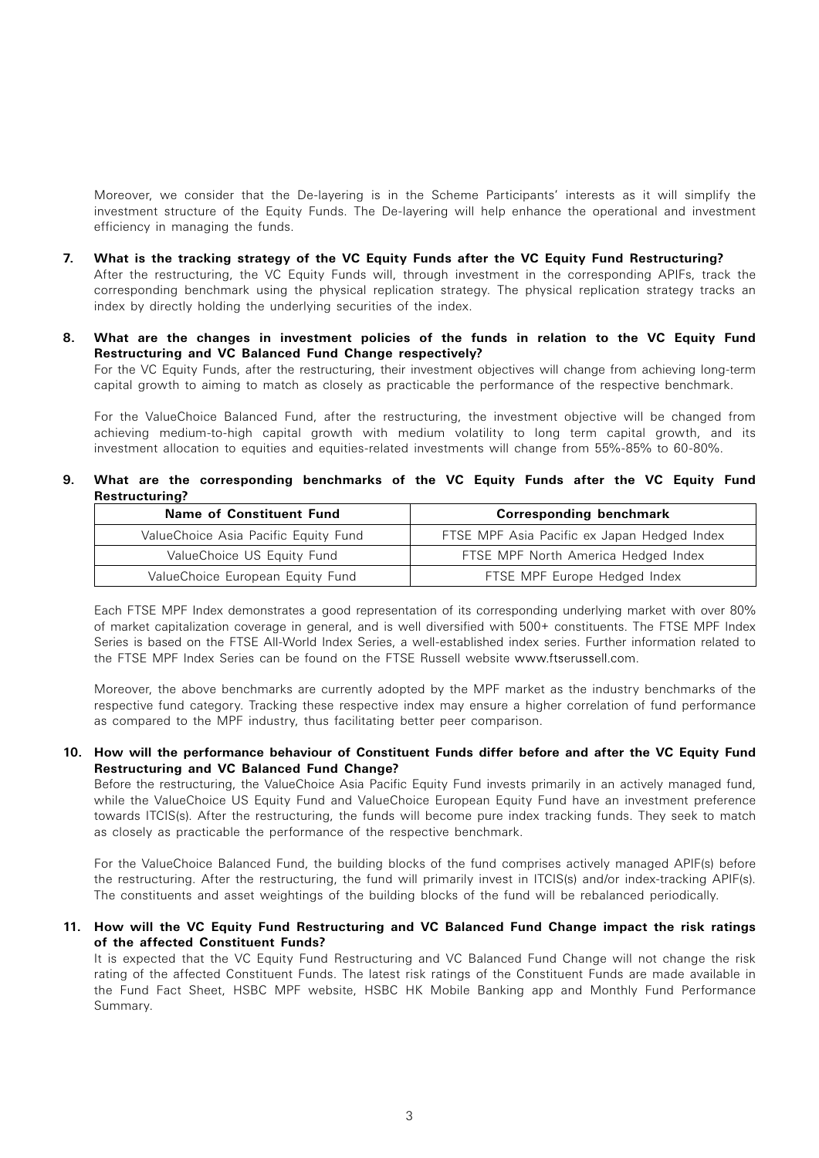Moreover, we consider that the De-layering is in the Scheme Participants' interests as it will simplify the investment structure of the Equity Funds. The De-layering will help enhance the operational and investment efficiency in managing the funds.

- **7. What is the tracking strategy of the VC Equity Funds after the VC Equity Fund Restructuring?** After the restructuring, the VC Equity Funds will, through investment in the corresponding APIFs, track the corresponding benchmark using the physical replication strategy. The physical replication strategy tracks an index by directly holding the underlying securities of the index.
- **8. What are the changes in investment policies of the funds in relation to the VC Equity Fund Restructuring and VC Balanced Fund Change respectively?** For the VC Equity Funds, after the restructuring, their investment objectives will change from achieving long-term capital growth to aiming to match as closely as practicable the performance of the respective benchmark.

 For the ValueChoice Balanced Fund, after the restructuring, the investment objective will be changed from achieving medium-to-high capital growth with medium volatility to long term capital growth, and its investment allocation to equities and equities-related investments will change from 55%-85% to 60-80%.

## **9. What are the corresponding benchmarks of the VC Equity Funds after the VC Equity Fund Restructuring?**

| Name of Constituent Fund             | <b>Corresponding benchmark</b>              |  |
|--------------------------------------|---------------------------------------------|--|
| ValueChoice Asia Pacific Equity Fund | FTSE MPF Asia Pacific ex Japan Hedged Index |  |
| ValueChoice US Equity Fund           | FTSE MPF North America Hedged Index         |  |
| ValueChoice European Equity Fund     | FTSE MPF Europe Hedged Index                |  |

 Each FTSE MPF Index demonstrates a good representation of its corresponding underlying market with over 80% of market capitalization coverage in general, and is well diversified with 500+ constituents. The FTSE MPF Index Series is based on the FTSE All-World Index Series, a well-established index series. Further information related to the FTSE MPF Index Series can be found on the FTSE Russell website www.ftserussell.com

 Moreover, the above benchmarks are currently adopted by the MPF market as the industry benchmarks of the respective fund category. Tracking these respective index may ensure a higher correlation of fund performance as compared to the MPF industry, thus facilitating better peer comparison.

## **10. How will the performance behaviour of Constituent Funds differ before and after the VC Equity Fund Restructuring and VC Balanced Fund Change?**

 Before the restructuring, the ValueChoice Asia Pacific Equity Fund invests primarily in an actively managed fund, while the ValueChoice US Equity Fund and ValueChoice European Equity Fund have an investment preference towards ITCIS(s). After the restructuring, the funds will become pure index tracking funds. They seek to match as closely as practicable the performance of the respective benchmark.

 For the ValueChoice Balanced Fund, the building blocks of the fund comprises actively managed APIF(s) before the restructuring. After the restructuring, the fund will primarily invest in ITCIS(s) and/or index-tracking APIF(s). The constituents and asset weightings of the building blocks of the fund will be rebalanced periodically.

## **11. How will the VC Equity Fund Restructuring and VC Balanced Fund Change impact the risk ratings of the affected Constituent Funds?**

 It is expected that the VC Equity Fund Restructuring and VC Balanced Fund Change will not change the risk rating of the affected Constituent Funds. The latest risk ratings of the Constituent Funds are made available in the Fund Fact Sheet, HSBC MPF website, HSBC HK Mobile Banking app and Monthly Fund Performance Summary.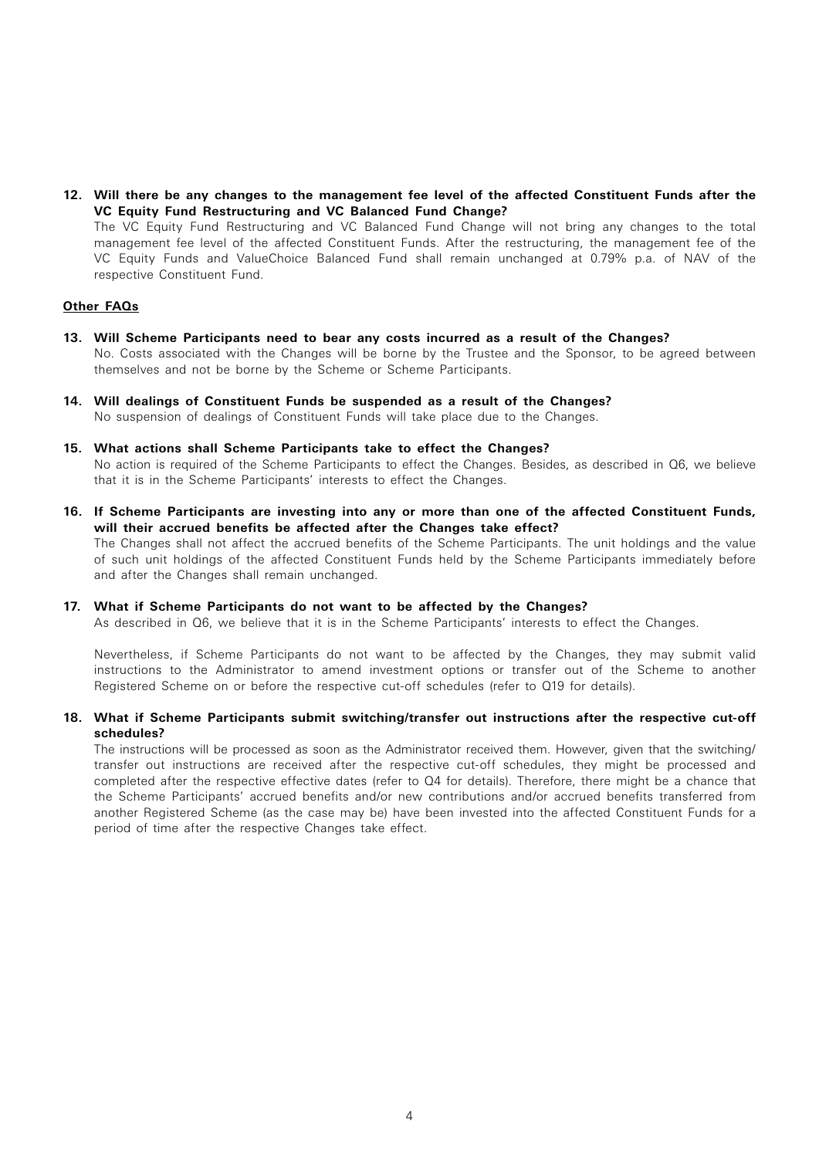**12. Will there be any changes to the management fee level of the affected Constituent Funds after the VC Equity Fund Restructuring and VC Balanced Fund Change?**

 The VC Equity Fund Restructuring and VC Balanced Fund Change will not bring any changes to the total management fee level of the affected Constituent Funds. After the restructuring, the management fee of the VC Equity Funds and ValueChoice Balanced Fund shall remain unchanged at 0.79% p.a. of NAV of the respective Constituent Fund.

## **Other FAQs**

- **13. Will Scheme Participants need to bear any costs incurred as a result of the Changes?** No. Costs associated with the Changes will be borne by the Trustee and the Sponsor, to be agreed between themselves and not be borne by the Scheme or Scheme Participants.
- **14. Will dealings of Constituent Funds be suspended as a result of the Changes?** No suspension of dealings of Constituent Funds will take place due to the Changes.
- **15. What actions shall Scheme Participants take to effect the Changes?** No action is required of the Scheme Participants to effect the Changes. Besides, as described in Q6, we believe that it is in the Scheme Participants' interests to effect the Changes.
- **16. If Scheme Participants are investing into any or more than one of the affected Constituent Funds, will their accrued benefits be affected after the Changes take effect?** The Changes shall not affect the accrued benefits of the Scheme Participants. The unit holdings and the value of such unit holdings of the affected Constituent Funds held by the Scheme Participants immediately before and after the Changes shall remain unchanged.

#### **17. What if Scheme Participants do not want to be affected by the Changes?**

As described in Q6, we believe that it is in the Scheme Participants' interests to effect the Changes.

 Nevertheless, if Scheme Participants do not want to be affected by the Changes, they may submit valid instructions to the Administrator to amend investment options or transfer out of the Scheme to another Registered Scheme on or before the respective cut-off schedules (refer to Q19 for details).

## **18. What if Scheme Participants submit switching/transfer out instructions after the respective cut-off schedules?**

 The instructions will be processed as soon as the Administrator received them. However, given that the switching/ transfer out instructions are received after the respective cut-off schedules, they might be processed and completed after the respective effective dates (refer to Q4 for details). Therefore, there might be a chance that the Scheme Participants' accrued benefits and/or new contributions and/or accrued benefits transferred from another Registered Scheme (as the case may be) have been invested into the affected Constituent Funds for a period of time after the respective Changes take effect.